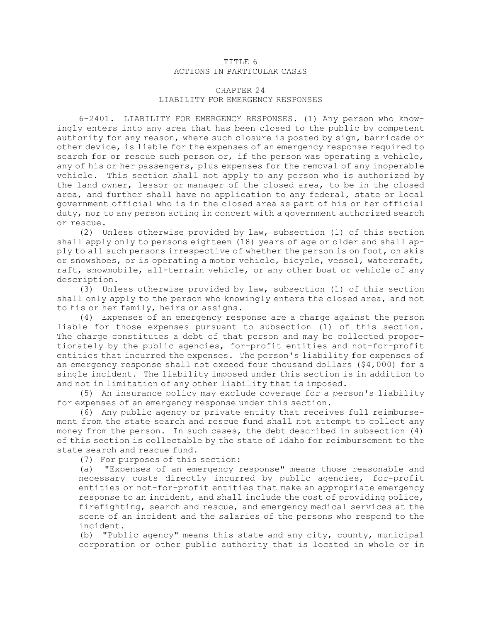## TITLE 6 ACTIONS IN PARTICULAR CASES

## CHAPTER 24 LIABILITY FOR EMERGENCY RESPONSES

6-2401. LIABILITY FOR EMERGENCY RESPONSES. (1) Any person who knowingly enters into any area that has been closed to the public by competent authority for any reason, where such closure is posted by sign, barricade or other device, is liable for the expenses of an emergency response required to search for or rescue such person or, if the person was operating <sup>a</sup> vehicle, any of his or her passengers, plus expenses for the removal of any inoperable vehicle. This section shall not apply to any person who is authorized by the land owner, lessor or manager of the closed area, to be in the closed area, and further shall have no application to any federal, state or local government official who is in the closed area as part of his or her official duty, nor to any person acting in concert with <sup>a</sup> government authorized search or rescue.

(2) Unless otherwise provided by law, subsection (1) of this section shall apply only to persons eighteen (18) years of age or older and shall apply to all such persons irrespective of whether the person is on foot, on skis or snowshoes, or is operating <sup>a</sup> motor vehicle, bicycle, vessel, watercraft, raft, snowmobile, all-terrain vehicle, or any other boat or vehicle of any description.

(3) Unless otherwise provided by law, subsection (1) of this section shall only apply to the person who knowingly enters the closed area, and not to his or her family, heirs or assigns.

(4) Expenses of an emergency response are <sup>a</sup> charge against the person liable for those expenses pursuant to subsection (1) of this section. The charge constitutes <sup>a</sup> debt of that person and may be collected proportionately by the public agencies, for-profit entities and not-for-profit entities that incurred the expenses. The person's liability for expenses of an emergency response shall not exceed four thousand dollars (\$4,000) for <sup>a</sup> single incident. The liability imposed under this section is in addition to and not in limitation of any other liability that is imposed.

(5) An insurance policy may exclude coverage for <sup>a</sup> person's liability for expenses of an emergency response under this section.

(6) Any public agency or private entity that receives full reimbursement from the state search and rescue fund shall not attempt to collect any money from the person. In such cases, the debt described in subsection (4) of this section is collectable by the state of Idaho for reimbursement to the state search and rescue fund.

(7) For purposes of this section:

(a) "Expenses of an emergency response" means those reasonable and necessary costs directly incurred by public agencies, for-profit entities or not-for-profit entities that make an appropriate emergency response to an incident, and shall include the cost of providing police, firefighting, search and rescue, and emergency medical services at the scene of an incident and the salaries of the persons who respond to the incident.

(b) "Public agency" means this state and any city, county, municipal corporation or other public authority that is located in whole or in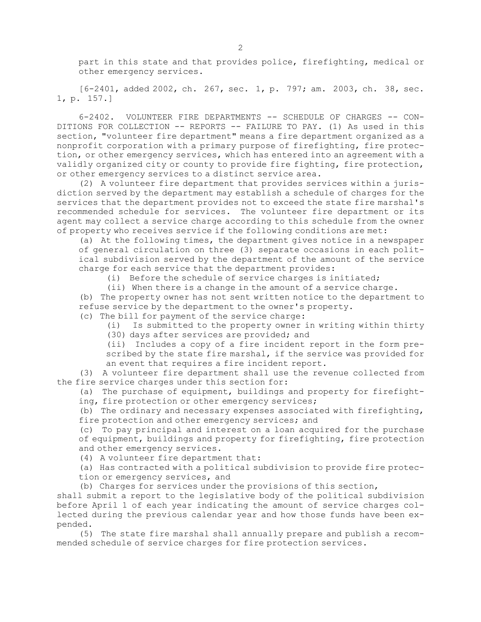part in this state and that provides police, firefighting, medical or other emergency services.

[6-2401, added 2002, ch. 267, sec. 1, p. 797; am. 2003, ch. 38, sec. 1, p. 157.]

6-2402. VOLUNTEER FIRE DEPARTMENTS -- SCHEDULE OF CHARGES -- CON-DITIONS FOR COLLECTION -- REPORTS -- FAILURE TO PAY. (1) As used in this section, "volunteer fire department" means <sup>a</sup> fire department organized as <sup>a</sup> nonprofit corporation with <sup>a</sup> primary purpose of firefighting, fire protection, or other emergency services, which has entered into an agreement with <sup>a</sup> validly organized city or county to provide fire fighting, fire protection, or other emergency services to <sup>a</sup> distinct service area.

(2) <sup>A</sup> volunteer fire department that provides services within <sup>a</sup> jurisdiction served by the department may establish <sup>a</sup> schedule of charges for the services that the department provides not to exceed the state fire marshal's recommended schedule for services. The volunteer fire department or its agent may collect <sup>a</sup> service charge according to this schedule from the owner of property who receives service if the following conditions are met:

(a) At the following times, the department gives notice in <sup>a</sup> newspaper of general circulation on three (3) separate occasions in each political subdivision served by the department of the amount of the service charge for each service that the department provides:

(i) Before the schedule of service charges is initiated;

(ii) When there is <sup>a</sup> change in the amount of <sup>a</sup> service charge.

(b) The property owner has not sent written notice to the department to refuse service by the department to the owner's property.

(c) The bill for payment of the service charge:

- (i) Is submitted to the property owner in writing within thirty
- (30) days after services are provided; and

(ii) Includes <sup>a</sup> copy of <sup>a</sup> fire incident report in the form prescribed by the state fire marshal, if the service was provided for an event that requires <sup>a</sup> fire incident report.

(3) <sup>A</sup> volunteer fire department shall use the revenue collected from the fire service charges under this section for:

(a) The purchase of equipment, buildings and property for firefighting, fire protection or other emergency services;

(b) The ordinary and necessary expenses associated with firefighting, fire protection and other emergency services; and

(c) To pay principal and interest on <sup>a</sup> loan acquired for the purchase of equipment, buildings and property for firefighting, fire protection and other emergency services.

(4) <sup>A</sup> volunteer fire department that:

(a) Has contracted with <sup>a</sup> political subdivision to provide fire protection or emergency services, and

(b) Charges for services under the provisions of this section,

shall submit <sup>a</sup> report to the legislative body of the political subdivision before April 1 of each year indicating the amount of service charges collected during the previous calendar year and how those funds have been expended.

(5) The state fire marshal shall annually prepare and publish <sup>a</sup> recommended schedule of service charges for fire protection services.